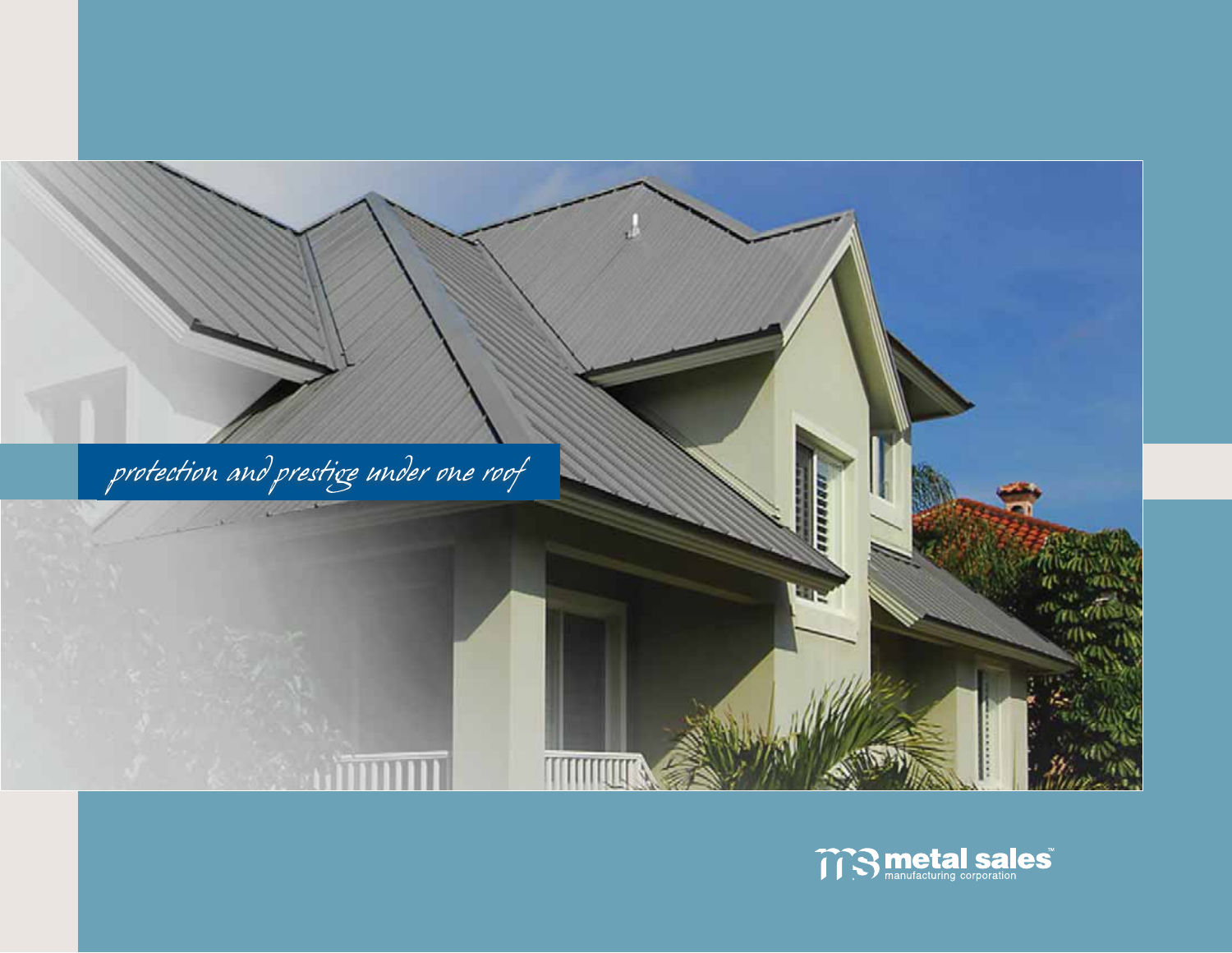

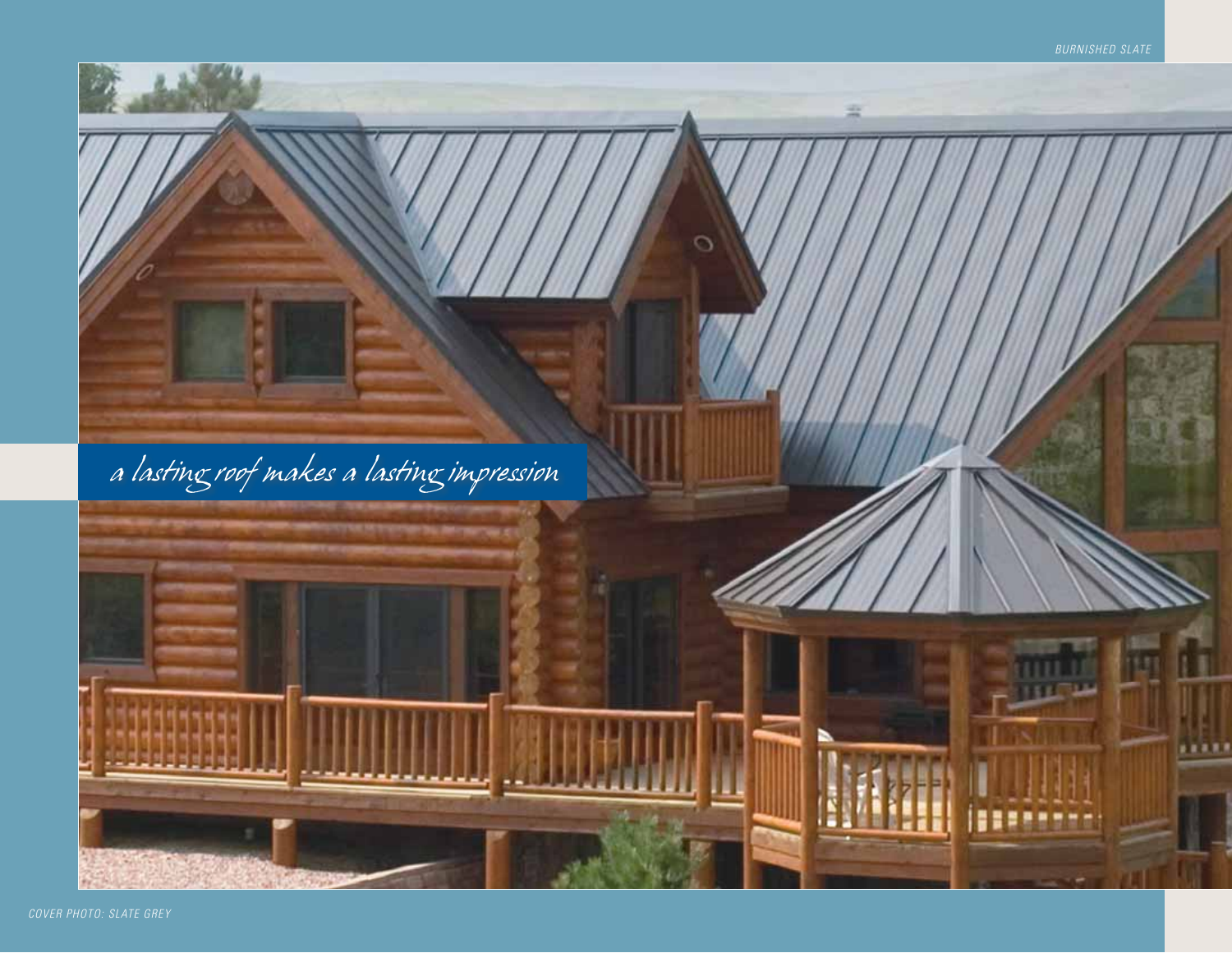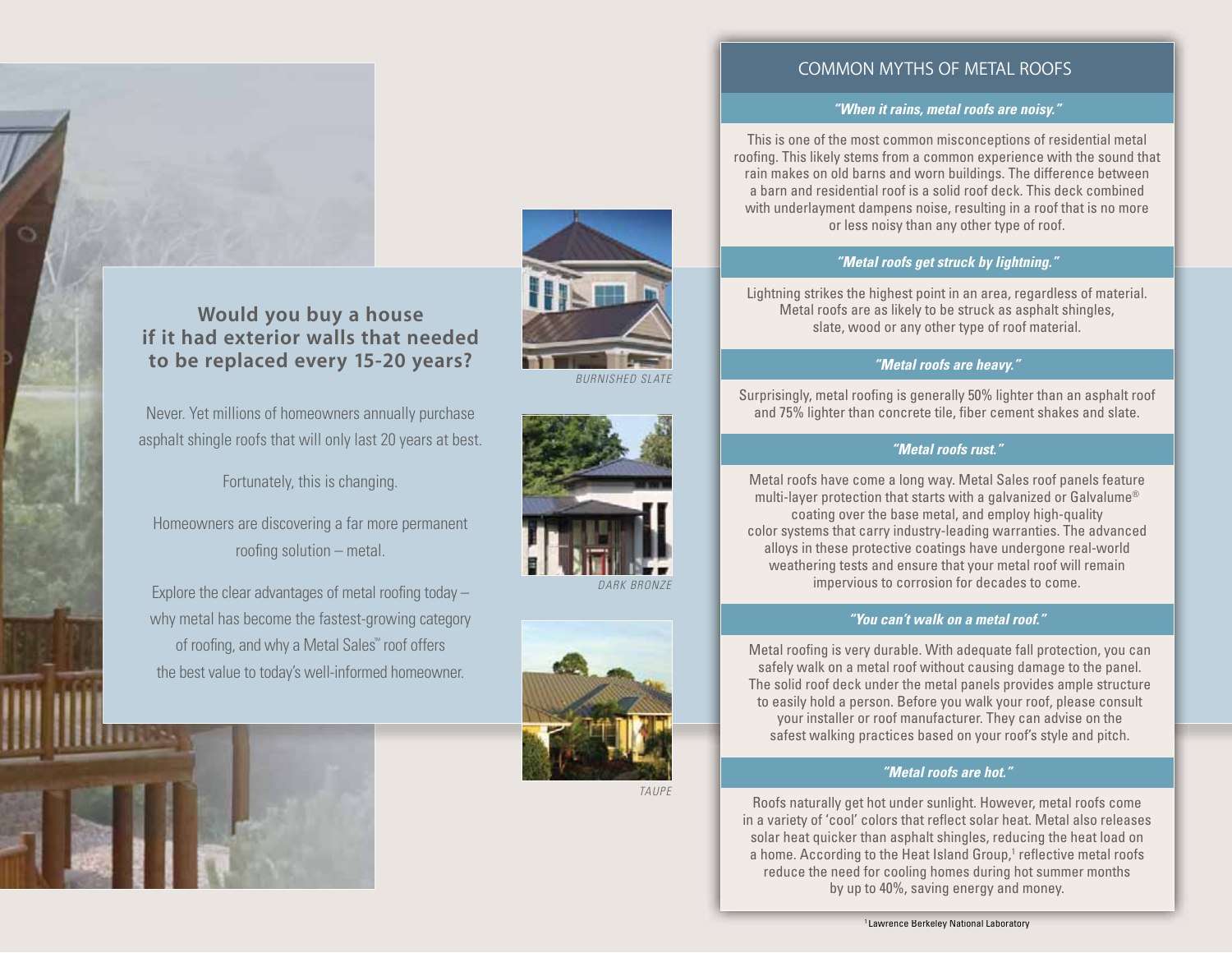

# **if it had exterior walls that needed** to be replaced every 15-20 years?

Never. Yet millions of homeowners annually purchase asphalt shingle roofs that will only last 20 years at best.

Fortunately, this is changing.

Homeowners are discovering a far more permanent roofing solution – metal.

Explore the clear advantages of metal roofing today – why metal has become the fastest-growing category of roofing, and why a Metal Sales™ roof offers the best value to today's well-informed homeowner.



BURNISHED SLATE





TAUPE

#### **COMMON MYTHS OF METAL ROOFS**

#### *"When it rains, metal roofs are noisy."*

This is one of the most common misconceptions of residential metal roofing. This likely stems from a common experience with the sound that rain makes on old barns and worn buildings. The difference between a barn and residential roof is a solid roof deck. This deck combined with underlayment dampens noise, resulting in a roof that is no more or less noisy than any other type of roof.

#### *"Metal roofs get struck by lightning."*

Lightning strikes the highest point in an area, regardless of material. Metal roofs are as likely to be struck as asphalt shingles, slate, wood or any other type of roof material.

#### *"Metal roofs are heavy."*

Surprisingly, metal roofing is generally 50% lighter than an asphalt roof and 75% lighter than concrete tile, fiber cement shakes and slate.

#### *"Metal roofs rust."*

Metal roofs have come a long way. Metal Sales roof panels feature multi-layer protection that starts with a galvanized or Galvalume® coating over the base metal, and employ high-quality color systems that carry industry-leading warranties. The advanced alloys in these protective coatings have undergone real-world weathering tests and ensure that your metal roof will remain impervious to corrosion for decades to come.

#### *"You can't walk on a metal roof."*

Metal roofing is very durable. With adequate fall protection, you can safely walk on a metal roof without causing damage to the panel. The solid roof deck under the metal panels provides ample structure to easily hold a person. Before you walk your roof, please consult your installer or roof manufacturer. They can advise on the safest walking practices based on your roof's style and pitch.

#### *"Metal roofs are hot."*

Roofs naturally get hot under sunlight. However, metal roofs come in a variety of 'cool' colors that reflect solar heat. Metal also releases solar heat quicker than asphalt shingles, reducing the heat load on a home. According to the Heat Island Group,<sup>1</sup> reflective metal roofs reduce the need for cooling homes during hot summer months by up to 40%, saving energy and money.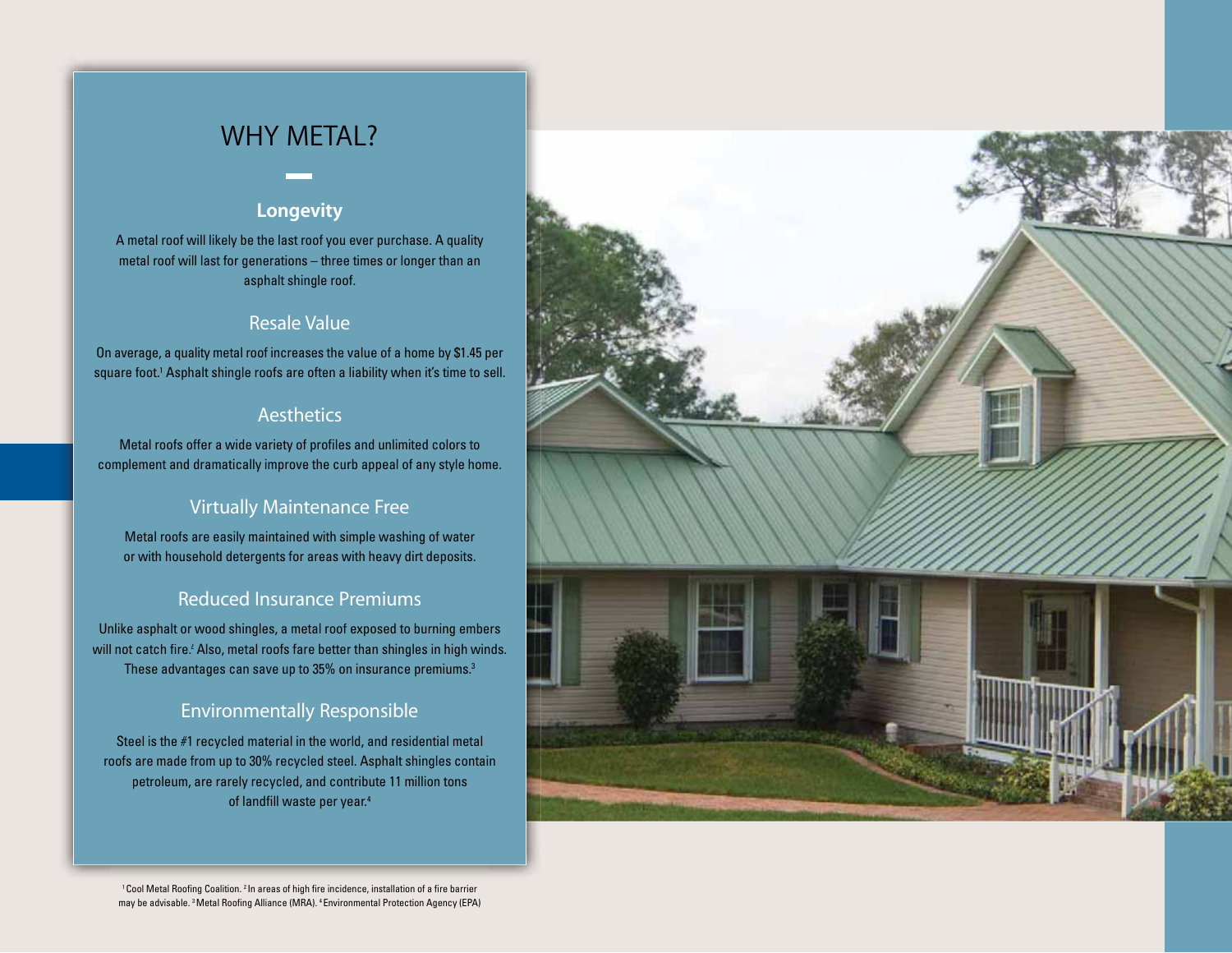# **WHY METAL?**

## **Longevity**

A metal roof will likely be the last roof you ever purchase. A quality metal roof will last for generations – three times or longer than an asphalt shingle roof.

## Resale Value

On average, a quality metal roof increases the value of a home by \$1.45 per square foot.<sup>1</sup> Asphalt shingle roofs are often a liability when it's time to sell.

#### **Aesthetics**

Metal roofs offer a wide variety of profiles and unlimited colors to complement and dramatically improve the curb appeal of any style home.

# **Virtually Maintenance Free**

Metal roofs are easily maintained with simple washing of water or with household detergents for areas with heavy dirt deposits.

### **Reduced Insurance Premiums**

Unlike asphalt or wood shingles, a metal roof exposed to burning embers will not catch fire.<sup>2</sup> Also, metal roofs fare better than shingles in high winds. These advantages can save up to 35% on insurance premiums.3

## **Environmentally Responsible**

Steel is the #1 recycled material in the world, and residential metal roofs are made from up to 30% recycled steel. Asphalt shingles contain petroleum, are rarely recycled, and contribute 11 million tons of landfill waste per year.4



1Cool Metal Roofing Coalition. 2 In areas of high fire incidence, installation of a fire barrier may be advisable. 3Metal Roofing Alliance (MRA). 4Environmental Protection Agency (EPA)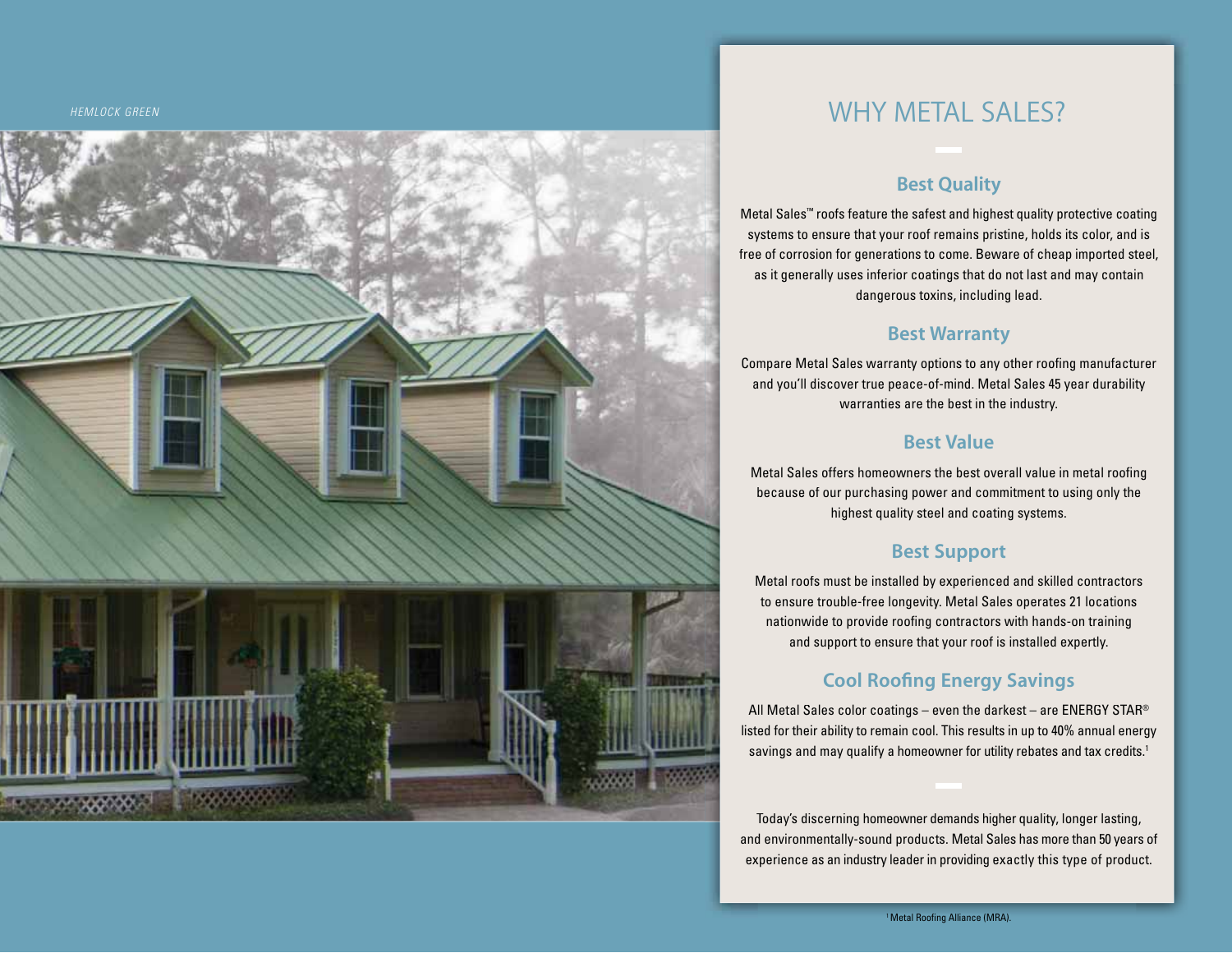HEMLOCK GREEN



# **WHY METAL SALES?**

#### **Best Quality**

Metal Sales ™ roofs feature the safest and highest quality protective coating systems to ensure that your roo f remains pristine, holds its color, and is free of corrosion for generations to come. Beware of cheap imported steel, as it generally uses inferior coatings that do not last and may contain dangerous toxins, including lead.

### **Best Warranty**

Compare Metal Sales warranty options to any other roofing manufacturer and you'll discover true peace-of-mind. Metal Sales 45 year durabilit y warrant ies are t he best in t he i n dustry.

## **Best Value**

Metal Sales offers homeowners the best overall value in metal roofin g because o f our purchasin g power and commitment to usin g onl y the highest quali t y stee l an d coat i n g s ystems.

### **Best Support**

Metal roo fs must be installed b y ex perienced and skilled contractors to ensure trouble-free longevity. Metal Sales operates 21 locations nationwide to provide roofin g contractors with hands-on trainin g and support to ensure that your roof is installed ex pertl y.

# **Cool Roofing Energy Savings**

All Metal Sales color coatings – even the darkest – are <code>ENERGY</code> STAR® listed for their ability to remain cool. This results in up to 40 % annual energy savings and may qualify a homeowner for utility rebates and tax credits . 1

Today's discerning homeowner demands higher quality, longer lasting, and environmentall y-sound products. Metal Sales has more than 50 years of experience as an industry leader in providing exactly this type of product.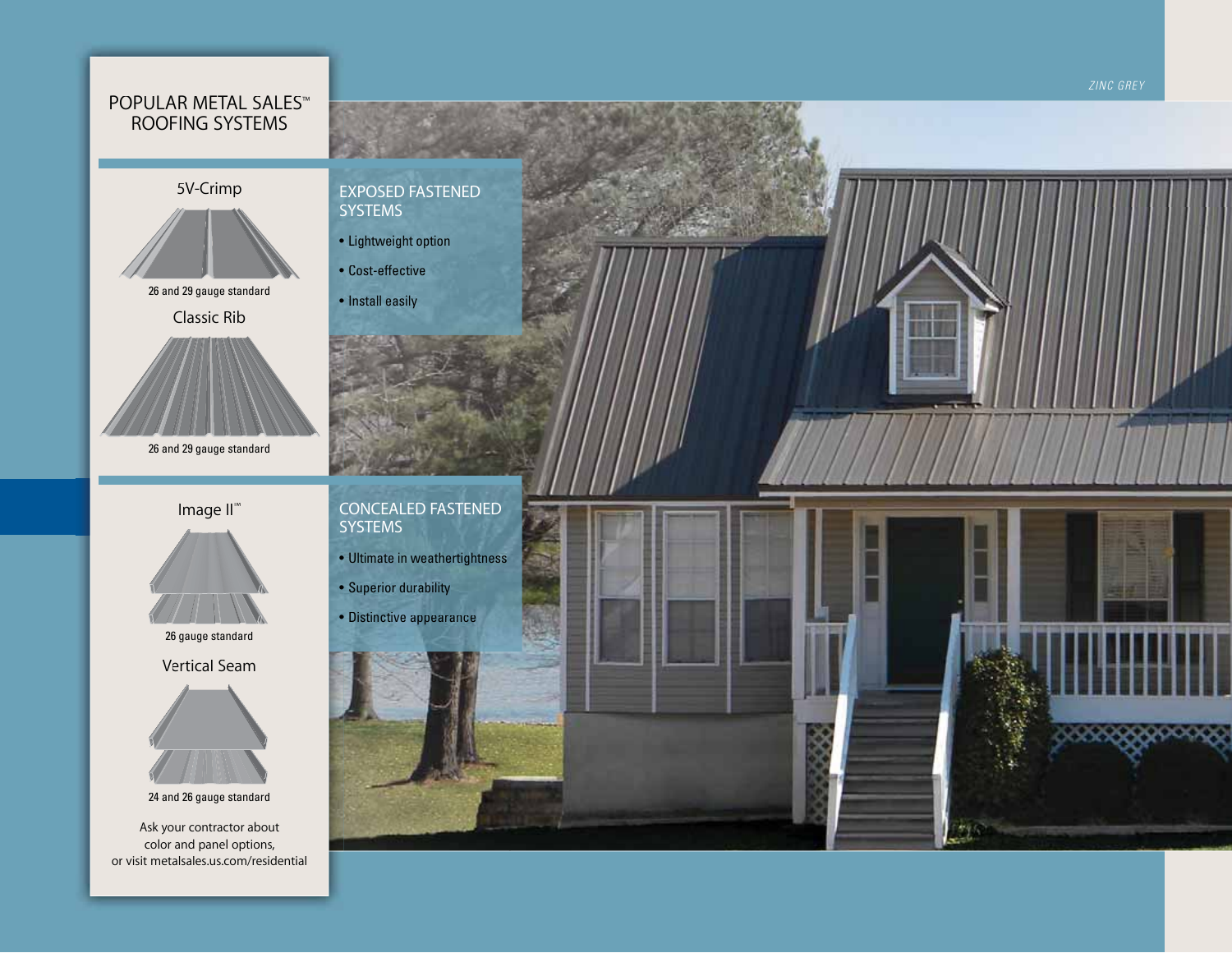### POPULAR METAL SALES™ ROOFING SYSTEMS

#### 5V-Crimp



26 and 29 gauge standard

Classic Rib



26 and 29 gauge standard

### Image II<sup>™</sup>



26 gauge standard

**Vertical Seam** 



24 and 26 gauge standard

Ask your contractor about color and panel options, or visit metalsales.us.com/residential

#### **EXPOSED FASTENED SYSTEMS**

- · Lightweight option
- Cost-effective
- · Install easily

**CONCEALED FASTENED SYSTEMS** 

- · Ultimate in weathertightness
- Superior durability
- · Distinctive appearance





ZINC GREY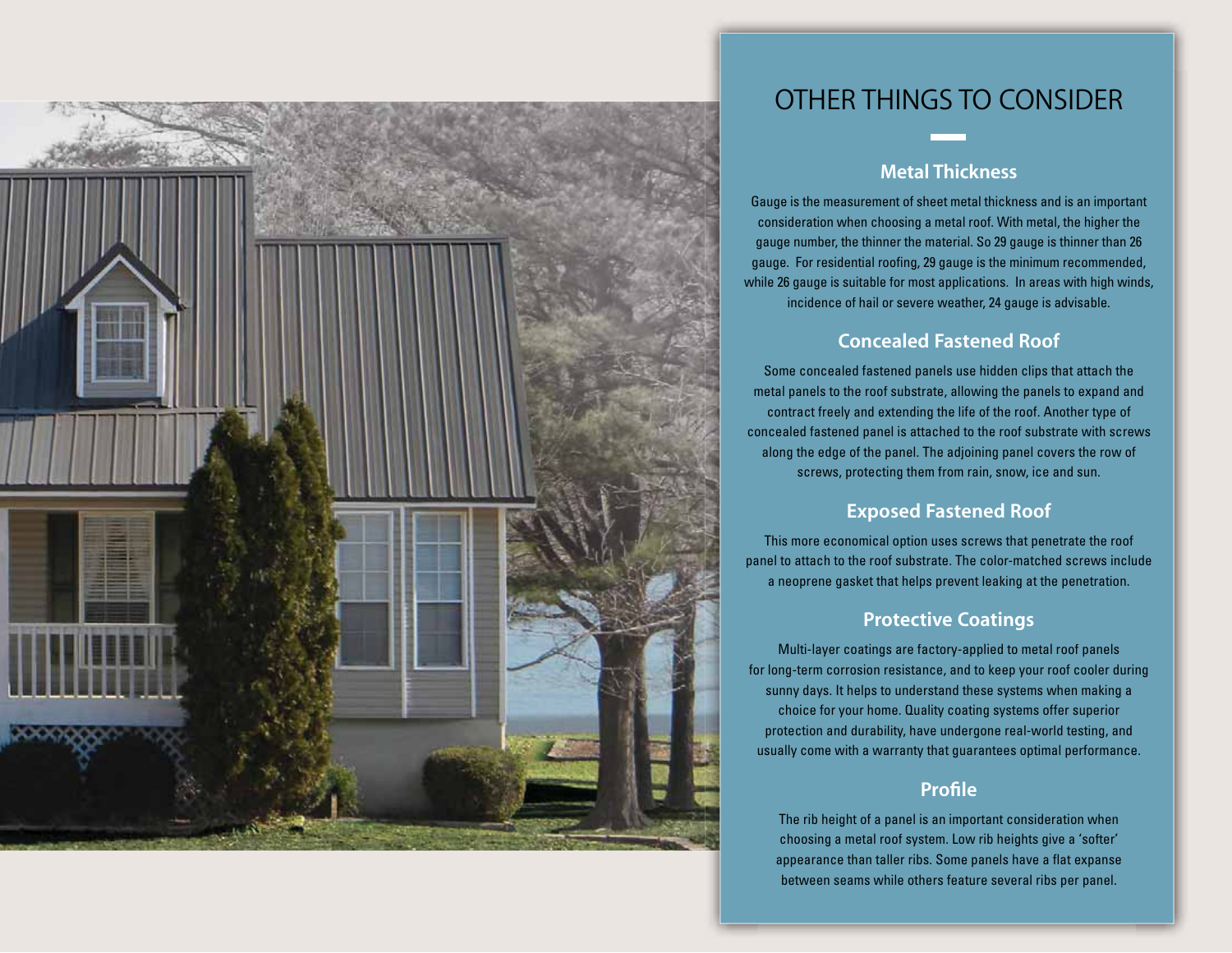

# OTHER THINGS TO CONSIDER

# **Metal Thickness**

Gauge is the measurement of sheet metal thickness and is an important consideration when choosing a metal roof. With metal, the higher the gauge number, the thinner the material. So 29 gauge is thinner than 26 gauge. For residential roofing, 29 gauge is the minimum recommended, while 26 gauge is suitable for most applications. In areas with high winds, incidence of hail or severe weather, 24 gauge is advisable.

## **Concealed Fastened Roof**

Some concealed fastened panels use hidden clips that attach the metal panels to the roof substrate, allowing the panels to expand and contract freely and extending the life of the roof. Another type of concealed fastened panel is attached to the roof substrate with screws along the edge of the panel. The adjoining panel covers the row of screws, protecting them from rain, snow, ice and sun.

## **Exposed Fastened Roof**

This more economical option uses screws that penetrate the roof panel to attach to the roof substrate. The color-matched screws include a neoprene gasket that helps prevent leaking at the penetration.

#### **Protective Coatings**

Multi-layer coatings are factory-applied to metal roof panels for long-term corrosion resistance, and to keep your roof cooler during sunny days. It helps to understand these systems when making a choice for your home. Quality coating systems offer superior protection and durability, have undergone real-world testing, and usually come with a warranty that guarantees optimal performance.

### **Profile**

The rib height of a panel is an important consideration when choosing a metal roof system. Low rib heights give a 'softer' appearance than taller ribs. Some panels have a flat expanse between seams while others feature several ribs per panel.